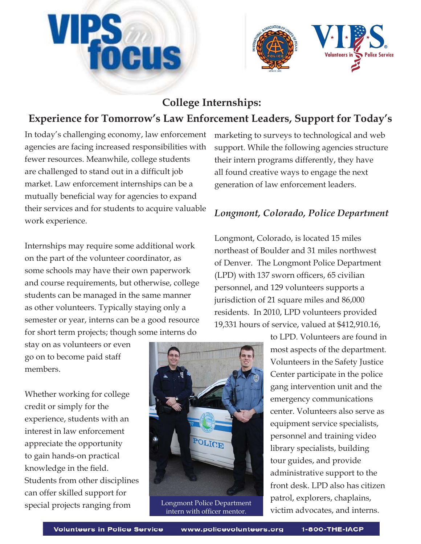



# **College Internships: Experience for Tomorrow's Law Enforcement Leaders, Support for Today's**

In today's challenging economy, law enforcement agencies are facing increased responsibilities with fewer resources. Meanwhile, college students are challenged to stand out in a difficult job market. Law enforcement internships can be a mutually beneficial way for agencies to expand their services and for students to acquire valuable work experience.

Internships may require some additional work on the part of the volunteer coordinator, as some schools may have their own paperwork and course requirements, but otherwise, college students can be managed in the same manner as other volunteers. Typically staying only a semester or year, interns can be a good resource for short term projects; though some interns do

stay on as volunteers or even go on to become paid staff members.

Whether working for college credit or simply for the experience, students with an interest in law enforcement appreciate the opportunity to gain hands-on practical knowledge in the field. Students from other disciplines can offer skilled support for special projects ranging from



marketing to surveys to technological and web support. While the following agencies structure their intern programs differently, they have all found creative ways to engage the next generation of law enforcement leaders.

## *Longmont, Colorado, Police Department*

Longmont, Colorado, is located 15 miles northeast of Boulder and 31 miles northwest of Denver. The Longmont Police Department  $(LPD)$  with 137 sworn officers, 65 civilian personnel, and 129 volunteers supports a jurisdiction of 21 square miles and 86,000 residents. In 2010, LPD volunteers provided 19,331 hours of service, valued at \$412,910.16,

> to LPD. Volunteers are found in most aspects of the department. Volunteers in the Safety Justice Center participate in the police gang intervention unit and the emergency communications center. Volunteers also serve as equipment service specialists, personnel and training video library specialists, building tour guides, and provide administrative support to the front desk. LPD also has citizen patrol, explorers, chaplains, victim advocates, and interns.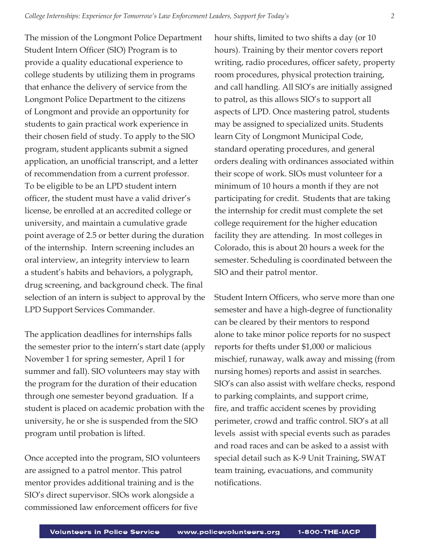The mission of the Longmont Police Department Student Intern Officer (SIO) Program is to provide a quality educational experience to college students by utilizing them in programs that enhance the delivery of service from the Longmont Police Department to the citizens of Longmont and provide an opportunity for students to gain practical work experience in their chosen field of study. To apply to the SIO program, student applicants submit a signed application, an unofficial transcript, and a letter of recommendation from a current professor. To be eligible to be an LPD student intern officer, the student must have a valid driver's license, be enrolled at an accredited college or university, and maintain a cumulative grade point average of 2.5 or better during the duration of the internship. Intern screening includes an oral interview, an integrity interview to learn a student's habits and behaviors, a polygraph, drug screening, and background check. The final selection of an intern is subject to approval by the LPD Support Services Commander.

The application deadlines for internships falls the semester prior to the intern's start date (apply November 1 for spring semester, April 1 for summer and fall). SIO volunteers may stay with the program for the duration of their education through one semester beyond graduation. If a student is placed on academic probation with the university, he or she is suspended from the SIO program until probation is lifted.

Once accepted into the program, SIO volunteers are assigned to a patrol mentor. This patrol mentor provides additional training and is the SIO's direct supervisor. SIOs work alongside a commissioned law enforcement officers for five

hour shifts, limited to two shifts a day (or 10 hours). Training by their mentor covers report writing, radio procedures, officer safety, property room procedures, physical protection training, and call handling. All SIO's are initially assigned to patrol, as this allows SIO's to support all aspects of LPD. Once mastering patrol, students may be assigned to specialized units. Students learn City of Longmont Municipal Code, standard operating procedures, and general orders dealing with ordinances associated within their scope of work. SIOs must volunteer for a minimum of 10 hours a month if they are not participating for credit. Students that are taking the internship for credit must complete the set college requirement for the higher education facility they are attending. In most colleges in Colorado, this is about 20 hours a week for the semester. Scheduling is coordinated between the SIO and their patrol mentor.

Student Intern Officers, who serve more than one semester and have a high-degree of functionality can be cleared by their mentors to respond alone to take minor police reports for no suspect reports for thefts under \$1,000 or malicious mischief, runaway, walk away and missing (from nursing homes) reports and assist in searches. SIO's can also assist with welfare checks, respond to parking complaints, and support crime, fire, and traffic accident scenes by providing perimeter, crowd and traffic control. SIO's at all levels assist with special events such as parades and road races and can be asked to a assist with special detail such as K-9 Unit Training, SWAT team training, evacuations, and community notifications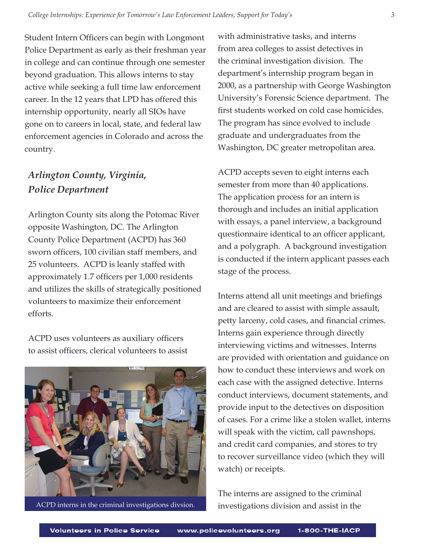Student Intern Officers can begin with Longmont Police Department as early as their freshman year in college and can continue through one semester beyond graduation. This allows interns to stay active while seeking a full time law enforcement career. In the 12 years that LPD has offered this internship opportunity, nearly all SIOs have gone on to careers in local, state, and federal law enforcement agencies in Colorado and across the country.

## *Arlington County, Virginia, Police Department*

Arlington County sits along the Potomac River opposite Washington, DC. The Arlington County Police Department (ACPD) has 360 sworn officers, 100 civilian staff members, and 25 volunteers. ACPD is leanly staffed with approximately 1.7 officers per 1,000 residents and utilizes the skills of strategically positioned volunteers to maximize their enforcement efforts.

ACPD uses volunteers as auxiliary officers to assist officers, clerical volunteers to assist



ACPD interns in the criminal investigations divsion.

with administrative tasks, and interns from area colleges to assist detectives in the criminal investigation division. The department's internship program began in 2000, as a partnership with George Washington University's Forensic Science department. The first students worked on cold case homicides. The program has since evolved to include graduate and undergraduates from the Washington, DC greater metropolitan area.

ACPD accepts seven to eight interns each semester from more than 40 applications. The application process for an intern is thorough and includes an initial application with essays, a panel interview, a background questionnaire identical to an officer applicant, and a polygraph. A background investigation is conducted if the intern applicant passes each stage of the process.

Interns attend all unit meetings and briefings and are cleared to assist with simple assault, petty larceny, cold cases, and financial crimes. Interns gain experience through directly interviewing victims and witnesses. Interns are provided with orientation and guidance on how to conduct these interviews and work on each case with the assigned detective. Interns conduct interviews, document statements, and provide input to the detectives on disposition of cases. For a crime like a stolen wallet, interns will speak with the victim, call pawnshops, and credit card companies, and stores to try to recover surveillance video (which they will watch) or receipts.

The interns are assigned to the criminal investigations division and assist in the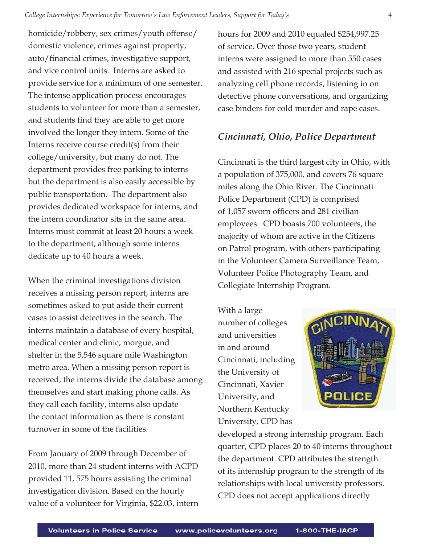homicide/robbery, sex crimes/youth offense/ domestic violence, crimes against property, auto/financial crimes, investigative support, and vice control units. Interns are asked to provide service for a minimum of one semester. The intense application process encourages students to volunteer for more than a semester, and students find they are able to get more involved the longer they intern. Some of the Interns receive course credit(s) from their college/university, but many do not. The department provides free parking to interns but the department is also easily accessible by public transportation. The department also provides dedicated workspace for interns, and the intern coordinator sits in the same area. Interns must commit at least 20 hours a week to the department, although some interns dedicate up to 40 hours a week.

When the criminal investigations division receives a missing person report, interns are sometimes asked to put aside their current cases to assist detectives in the search. The interns maintain a database of every hospital, medical center and clinic, morgue, and shelter in the 5,546 square mile Washington metro area. When a missing person report is received, the interns divide the database among themselves and start making phone calls. As they call each facility, interns also update the contact information as there is constant turnover in some of the facilities.

From January of 2009 through December of 2010, more than 24 student interns with ACPD provided 11, 575 hours assisting the criminal investigation division. Based on the hourly value of a volunteer for Virginia, \$22.03, intern

hours for 2009 and 2010 equaled \$254,997.25 of service. Over those two years, student interns were assigned to more than 550 cases and assisted with 216 special projects such as analyzing cell phone records, listening in on detective phone conversations, and organizing case binders for cold murder and rape cases.

### *Cincinnati, Ohio, Police Department*

Cincinnati is the third largest city in Ohio, with a population of 375,000, and covers 76 square miles along the Ohio River. The Cincinnati Police Department (CPD) is comprised of 1,057 sworn officers and 281 civilian employees. CPD boasts 700 volunteers, the majority of whom are active in the Citizens on Patrol program, with others participating in the Volunteer Camera Surveillance Team, Volunteer Police Photography Team, and Collegiate Internship Program.

With a large number of colleges and universities in and around Cincinnati, including the University of Cincinnati, Xavier University, and Northern Kentucky University, CPD has



developed a strong internship program. Each quarter, CPD places 20 to 40 interns throughout the department. CPD attributes the strength of its internship program to the strength of its relationships with local university professors. CPD does not accept applications directly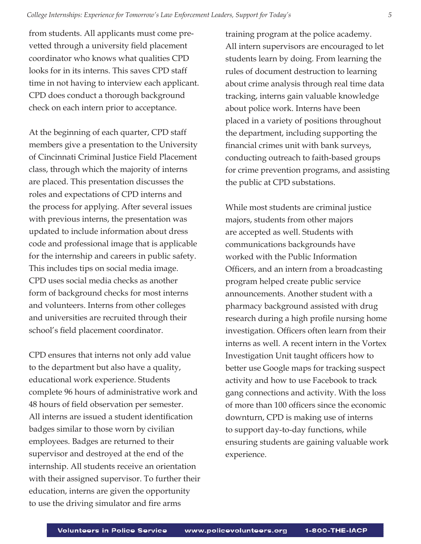from students. All applicants must come prevetted through a university field placement coordinator who knows what qualities CPD looks for in its interns. This saves CPD staff time in not having to interview each applicant. CPD does conduct a thorough background check on each intern prior to acceptance.

At the beginning of each quarter, CPD staff members give a presentation to the University of Cincinnati Criminal Justice Field Placement class, through which the majority of interns are placed. This presentation discusses the roles and expectations of CPD interns and the process for applying. After several issues with previous interns, the presentation was updated to include information about dress code and professional image that is applicable for the internship and careers in public safety. This includes tips on social media image. CPD uses social media checks as another form of background checks for most interns and volunteers. Interns from other colleges and universities are recruited through their school's field placement coordinator.

CPD ensures that interns not only add value to the department but also have a quality, educational work experience. Students complete 96 hours of administrative work and 48 hours of field observation per semester. All interns are issued a student identification badges similar to those worn by civilian employees. Badges are returned to their supervisor and destroyed at the end of the internship. All students receive an orientation with their assigned supervisor. To further their education, interns are given the opportunity to use the driving simulator and fire arms

training program at the police academy. All intern supervisors are encouraged to let students learn by doing. From learning the rules of document destruction to learning about crime analysis through real time data tracking, interns gain valuable knowledge about police work. Interns have been placed in a variety of positions throughout the department, including supporting the financial crimes unit with bank surveys, conducting outreach to faith-based groups for crime prevention programs, and assisting the public at CPD substations.

While most students are criminal justice majors, students from other majors are accepted as well. Students with communications backgrounds have worked with the Public Information Officers, and an intern from a broadcasting program helped create public service announcements. Another student with a pharmacy background assisted with drug research during a high profile nursing home investigation. Officers often learn from their interns as well. A recent intern in the Vortex Investigation Unit taught officers how to better use Google maps for tracking suspect activity and how to use Facebook to track gang connections and activity. With the loss of more than 100 officers since the economic downturn, CPD is making use of interns to support day-to-day functions, while ensuring students are gaining valuable work experience.